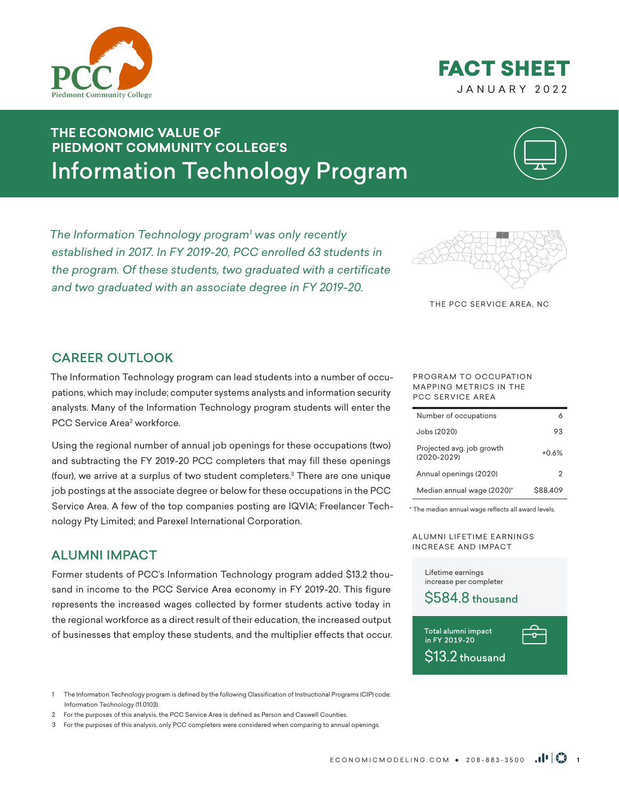

# JANUARY 2022 FACT SHEET

# **THE ECONOMIC VALUE OF PIEDMONT COMMUNITY COLLEGE'S** Information Technology Program



*The Information Technology program1 was only recently established in 2017. In FY 2019-20, PCC enrolled 63 students in the program. Of these students, two graduated with a certificate and two graduated with an associate degree in FY 2019-20.* 



THE PCC SERVICE AREA, NC

### CAREER OUTLOOK

The Information Technology program can lead students into a number of occupations, which may include; computer systems analysts and information security analysts. Many of the Information Technology program students will enter the PCC Service Area<del>'</del> workforce.

Using the regional number of annual job openings for these occupations (two) and subtracting the FY 2019-20 PCC completers that may fill these openings (four), we arrive at a surplus of two student completers.<sup>3</sup> There are one unique job postings at the associate degree or below for these occupations in the PCC Service Area. A few of the top companies posting are IQVIA; Freelancer Technology Pty Limited; and Parexel International Corporation.

### ALUMNI IMPACT

Former students of PCC's Information Technology program added \$13.2 thousand in income to the PCC Service Area economy in FY 2019-20. This figure represents the increased wages collected by former students active today in the regional workforce as a direct result of their education, the increased output of businesses that employ these students, and the multiplier effects that occur.

1 The Information Technology program is defined by the following Classification of Instructional Programs (CIP) code: Information Technology (11.0103).

- 2 For the purposes of this analysis, the PCC Service Area is defined as Person and Caswell Counties.
- 3 For the purposes of this analysis, only PCC completers were considered when comparing to annual openings.

#### PROGRAM TO OCCUPATION MAPPING METRICS IN THE PCC SERVICE AREA

| Number of occupations                        |          |
|----------------------------------------------|----------|
| Jobs (2020)                                  | 93       |
| Projected avg. job growth<br>$(2020 - 2029)$ | +በ 6%    |
| Annual openings (2020)                       | 2        |
| Median annual wage (2020)*                   | \$88,409 |

\* The median annual wage reflects all award levels.

A LUMNI LIFETIME EARNINGS INCREASE AND IMPACT

Lifetime earnings increase per completer



Total alumni impact in FY 2019-20 \$13.2 thousand